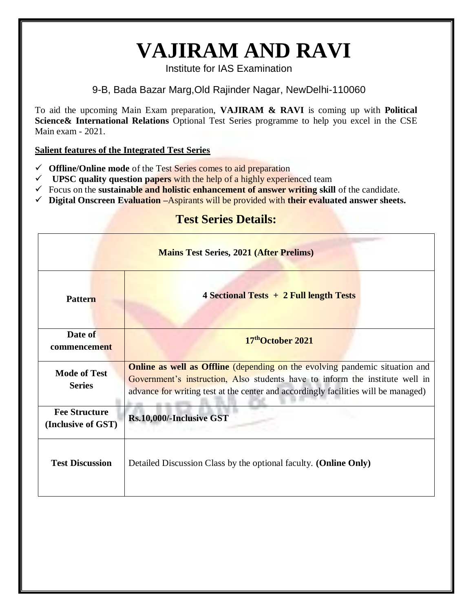## **VAJIRAM AND RAVI**

Institute for IAS Examination

9-B, Bada Bazar Marg,Old Rajinder Nagar, NewDelhi-110060

To aid the upcoming Main Exam preparation, **VAJIRAM & RAVI** is coming up with **Political Science& International Relations** Optional Test Series programme to help you excel in the CSE Main exam - 2021.

#### **Salient features of the Integrated Test Series**

- **Offline/Online mode** of the Test Series comes to aid preparation
- $\checkmark$  UPSC quality question papers with the help of a highly experienced team
- $\checkmark$  Focus on the **sustainable and holistic enhancement of answer writing skill** of the candidate.
- **Digital Onscreen Evaluation –**Aspirants will be provided with **their evaluated answer sheets.**

#### **Test Series Details:**

| <b>Mains Test Series, 2021 (After Prelims)</b> |                                                                                                                                                                                                                                                          |  |  |  |  |
|------------------------------------------------|----------------------------------------------------------------------------------------------------------------------------------------------------------------------------------------------------------------------------------------------------------|--|--|--|--|
| <b>Pattern</b>                                 | 4 Sectional Tests + 2 Full length Tests                                                                                                                                                                                                                  |  |  |  |  |
| Date of<br>commencement                        | 17 <sup>th</sup> October 2021                                                                                                                                                                                                                            |  |  |  |  |
| <b>Mode of Test</b><br><b>Series</b>           | <b>Online as well as Offline</b> (depending on the evolving pandemic situation and<br>Government's instruction, Also students have to inform the institute well in<br>advance for writing test at the center and accordingly facilities will be managed) |  |  |  |  |
| <b>Fee Structure</b><br>(Inclusive of GST)     | Rs.10,000/-Inclusive GST                                                                                                                                                                                                                                 |  |  |  |  |
| <b>Test Discussion</b>                         | Detailed Discussion Class by the optional faculty. (Online Only)                                                                                                                                                                                         |  |  |  |  |